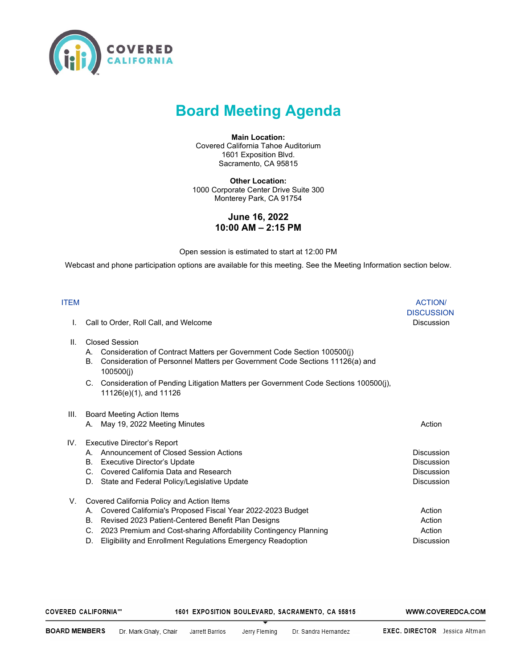

## **Board Meeting Agenda**

**Main Location:** Covered California Tahoe Auditorium 1601 Exposition Blvd. Sacramento, CA 95815

**Other Location:** 1000 Corporate Center Drive Suite 300 Monterey Park, CA 91754

## **June 16, 2022 10:00 AM – 2:15 PM**

Open session is estimated to start at 12:00 PM

Webcast and phone participation options are available for this meeting. See the Meeting Information section below.

| <b>ITEM</b> |                                                                                                                                                                                                                                                                                                                               | <b>ACTION/</b><br><b>DISCUSSION</b>                  |
|-------------|-------------------------------------------------------------------------------------------------------------------------------------------------------------------------------------------------------------------------------------------------------------------------------------------------------------------------------|------------------------------------------------------|
|             | Call to Order, Roll Call, and Welcome                                                                                                                                                                                                                                                                                         | <b>Discussion</b>                                    |
| Ш.          | <b>Closed Session</b><br>Consideration of Contract Matters per Government Code Section 100500(j)<br>А.<br>Consideration of Personnel Matters per Government Code Sections 11126(a) and<br>В.<br>100500(i)<br>C. Consideration of Pending Litigation Matters per Government Code Sections 100500(j),<br>11126(e)(1), and 11126 |                                                      |
| III.        | <b>Board Meeting Action Items</b><br>May 19, 2022 Meeting Minutes<br>А.                                                                                                                                                                                                                                                       | Action                                               |
| IV.         | <b>Executive Director's Report</b><br>Announcement of Closed Session Actions<br>A<br>Executive Director's Update<br>В.<br>Covered California Data and Research<br>C.<br>State and Federal Policy/Legislative Update<br>D.                                                                                                     | Discussion<br>Discussion<br>Discussion<br>Discussion |
| V.          | Covered California Policy and Action Items<br>Covered California's Proposed Fiscal Year 2022-2023 Budget<br>А.<br>Revised 2023 Patient-Centered Benefit Plan Designs<br>В.<br>2023 Premium and Cost-sharing Affordability Contingency Planning<br>C.<br>Eligibility and Enrollment Regulations Emergency Readoption<br>D.     | Action<br>Action<br>Action<br><b>Discussion</b>      |

| COVERED CALIFORNIA''' | 1601 EXPOSITION BOULEVARD, SACRAMENTO, CA 95815 | WWW.COVEREDCA.COM |
|-----------------------|-------------------------------------------------|-------------------|
|                       |                                                 |                   |